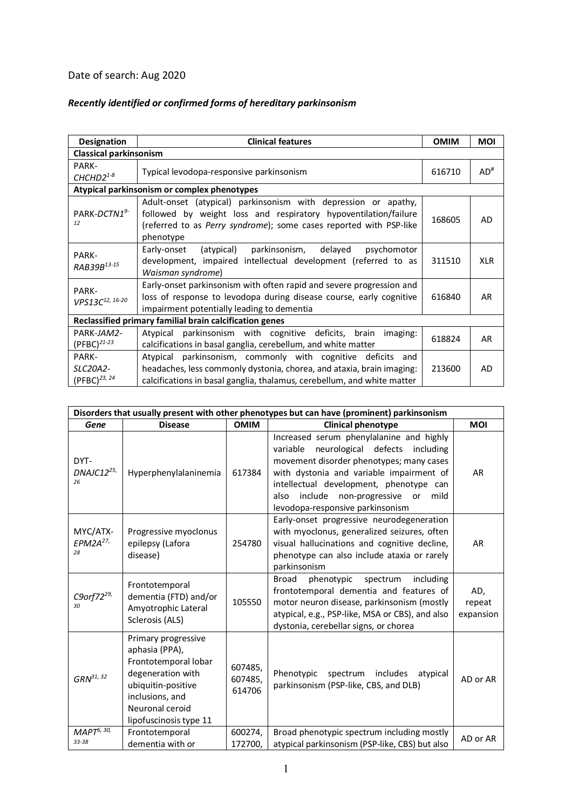## Date of search: Aug 2020

## *Recently identified or confirmed forms of hereditary parkinsonism*

| <b>Designation</b>                                      | <b>Clinical features</b>                                                                                                                                                                                              | <b>OMIM</b> | <b>MOI</b>      |  |  |  |  |  |  |
|---------------------------------------------------------|-----------------------------------------------------------------------------------------------------------------------------------------------------------------------------------------------------------------------|-------------|-----------------|--|--|--|--|--|--|
| <b>Classical parkinsonism</b>                           |                                                                                                                                                                                                                       |             |                 |  |  |  |  |  |  |
| PARK-<br>$CHCHD2^{1-8}$                                 | Typical levodopa-responsive parkinsonism                                                                                                                                                                              | 616710      | AD <sup>#</sup> |  |  |  |  |  |  |
| Atypical parkinsonism or complex phenotypes             |                                                                                                                                                                                                                       |             |                 |  |  |  |  |  |  |
| PARK-DCTN1 <sup>9-</sup><br>12                          | Adult-onset (atypical) parkinsonism with depression or apathy,<br>followed by weight loss and respiratory hypoventilation/failure<br>(referred to as Perry syndrome); some cases reported with PSP-like<br>phenotype  | 168605      | AD              |  |  |  |  |  |  |
| PARK-<br>RAB39B13-15                                    | parkinsonism, delayed<br>Early-onset<br>(atypical)<br>psychomotor<br>development, impaired intellectual development (referred to as<br>Waisman syndrome)                                                              | 311510      | <b>XLR</b>      |  |  |  |  |  |  |
| PARK-<br>VPS13C12, 16-20                                | Early-onset parkinsonism with often rapid and severe progression and<br>loss of response to levodopa during disease course, early cognitive<br>impairment potentially leading to dementia                             | 616840      | AR              |  |  |  |  |  |  |
| Reclassified primary familial brain calcification genes |                                                                                                                                                                                                                       |             |                 |  |  |  |  |  |  |
| PARK-JAM2-<br>$(PFBC)^{21-23}$                          | Atypical parkinsonism with cognitive deficits, brain<br>imaging:<br>calcifications in basal ganglia, cerebellum, and white matter                                                                                     | 618824      | AR              |  |  |  |  |  |  |
| PARK-<br>SLC20A2-<br>(PFBC) <sup>23, 24</sup>           | parkinsonism, commonly with cognitive deficits<br>Atypical<br>and<br>headaches, less commonly dystonia, chorea, and ataxia, brain imaging:<br>calcifications in basal ganglia, thalamus, cerebellum, and white matter | 213600      | AD              |  |  |  |  |  |  |

| Disorders that usually present with other phenotypes but can have (prominent) parkinsonism |                                                                                                                                                                          |                              |                                                                                                                                                                                                                                                                                                                   |                            |  |  |  |
|--------------------------------------------------------------------------------------------|--------------------------------------------------------------------------------------------------------------------------------------------------------------------------|------------------------------|-------------------------------------------------------------------------------------------------------------------------------------------------------------------------------------------------------------------------------------------------------------------------------------------------------------------|----------------------------|--|--|--|
| Gene                                                                                       | <b>Disease</b>                                                                                                                                                           | <b>OMIM</b>                  | <b>Clinical phenotype</b>                                                                                                                                                                                                                                                                                         | <b>MOI</b>                 |  |  |  |
| DYT-<br>DNAJC12 <sup>25,</sup><br>26                                                       | Hyperphenylalaninemia                                                                                                                                                    | 617384                       | Increased serum phenylalanine and highly<br>neurological defects<br>variable<br>including<br>movement disorder phenotypes; many cases<br>with dystonia and variable impairment of<br>intellectual development, phenotype can<br>include<br>non-progressive or<br>mild<br>also<br>levodopa-responsive parkinsonism | <b>AR</b>                  |  |  |  |
| MYC/ATX-<br>$EPM2A^{27}$<br>28                                                             | Progressive myoclonus<br>epilepsy (Lafora<br>disease)                                                                                                                    | 254780                       | Early-onset progressive neurodegeneration<br>with myoclonus, generalized seizures, often<br>visual hallucinations and cognitive decline,<br>phenotype can also include ataxia or rarely<br>parkinsonism                                                                                                           | <b>AR</b>                  |  |  |  |
| C9orf72 <sup>29,</sup><br>30                                                               | Frontotemporal<br>dementia (FTD) and/or<br>Amyotrophic Lateral<br>Sclerosis (ALS)                                                                                        | 105550                       | <b>Broad</b><br>phenotypic<br>including<br>spectrum<br>frontotemporal dementia and features of<br>motor neuron disease, parkinsonism (mostly<br>atypical, e.g., PSP-like, MSA or CBS), and also<br>dystonia, cerebellar signs, or chorea                                                                          | AD,<br>repeat<br>expansion |  |  |  |
| $GRN^{31, 32}$                                                                             | Primary progressive<br>aphasia (PPA),<br>Frontotemporal lobar<br>degeneration with<br>ubiquitin-positive<br>inclusions, and<br>Neuronal ceroid<br>lipofuscinosis type 11 | 607485,<br>607485,<br>614706 | Phenotypic<br>spectrum<br>includes<br>atypical<br>parkinsonism (PSP-like, CBS, and DLB)                                                                                                                                                                                                                           | AD or AR                   |  |  |  |
| MAPT <sup>6, 30,</sup><br>33-38                                                            | Frontotemporal<br>dementia with or                                                                                                                                       | 600274,<br>172700,           | Broad phenotypic spectrum including mostly<br>atypical parkinsonism (PSP-like, CBS) but also                                                                                                                                                                                                                      | AD or AR                   |  |  |  |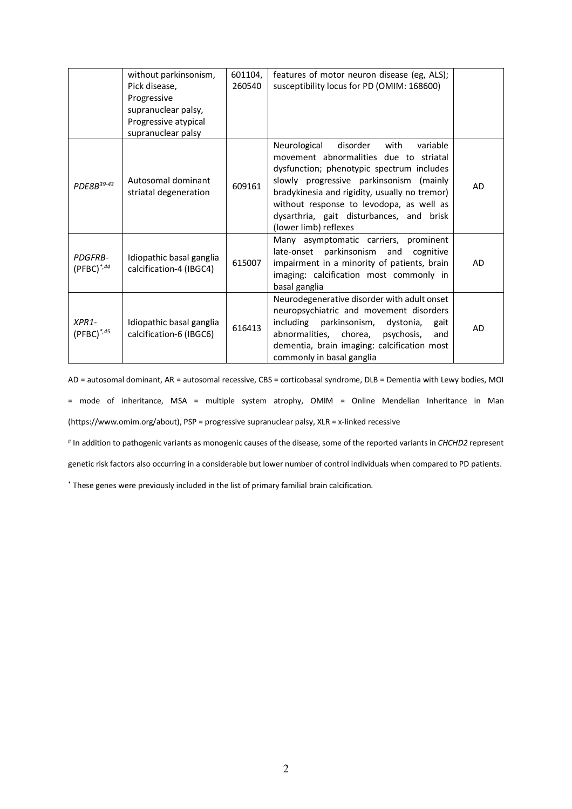|                                   | without parkinsonism,                               | 601104, | features of motor neuron disease (eg, ALS);                                                                                                                                                                                                                                                      |           |
|-----------------------------------|-----------------------------------------------------|---------|--------------------------------------------------------------------------------------------------------------------------------------------------------------------------------------------------------------------------------------------------------------------------------------------------|-----------|
|                                   | Pick disease,                                       | 260540  | susceptibility locus for PD (OMIM: 168600)                                                                                                                                                                                                                                                       |           |
|                                   | Progressive                                         |         |                                                                                                                                                                                                                                                                                                  |           |
|                                   | supranuclear palsy,                                 |         |                                                                                                                                                                                                                                                                                                  |           |
|                                   | Progressive atypical                                |         |                                                                                                                                                                                                                                                                                                  |           |
|                                   | supranuclear palsy                                  |         | Neurological<br>disorder<br>with<br>variable                                                                                                                                                                                                                                                     |           |
| PDE8B39-43                        | Autosomal dominant<br>striatal degeneration         | 609161  | movement abnormalities due to striatal<br>dysfunction; phenotypic spectrum includes<br>slowly progressive parkinsonism (mainly<br>bradykinesia and rigidity, usually no tremor)<br>without response to levodopa, as well as<br>dysarthria, gait disturbances, and brisk<br>(lower limb) reflexes | <b>AD</b> |
| <b>PDGFRB-</b><br>$(PFBC)^{*,44}$ | Idiopathic basal ganglia<br>calcification-4 (IBGC4) | 615007  | Many asymptomatic carriers, prominent<br>late-onset parkinsonism and<br>cognitive<br>impairment in a minority of patients, brain<br>imaging: calcification most commonly in<br>basal ganglia                                                                                                     | AD        |
| $XPR1-$<br>$(PFBC)^{*,45}$        | Idiopathic basal ganglia<br>calcification-6 (IBGC6) | 616413  | Neurodegenerative disorder with adult onset<br>neuropsychiatric and movement disorders<br>including parkinsonism,<br>dystonia,<br>gait<br>abnormalities, chorea,<br>psychosis,<br>and<br>dementia, brain imaging: calcification most<br>commonly in basal ganglia                                | AD        |

AD = autosomal dominant, AR = autosomal recessive, CBS = corticobasal syndrome, DLB = Dementia with Lewy bodies, MOI = mode of inheritance, MSA = multiple system atrophy, OMIM = Online Mendelian Inheritance in Man (https://www.omim.org/about), PSP = progressive supranuclear palsy, XLR = x-linked recessive

# In addition to pathogenic variants as monogenic causes of the disease, some of the reported variants in *CHCHD2* represent

genetic risk factors also occurring in a considerable but lower number of control individuals when compared to PD patients.

\* These genes were previously included in the list of primary familial brain calcification.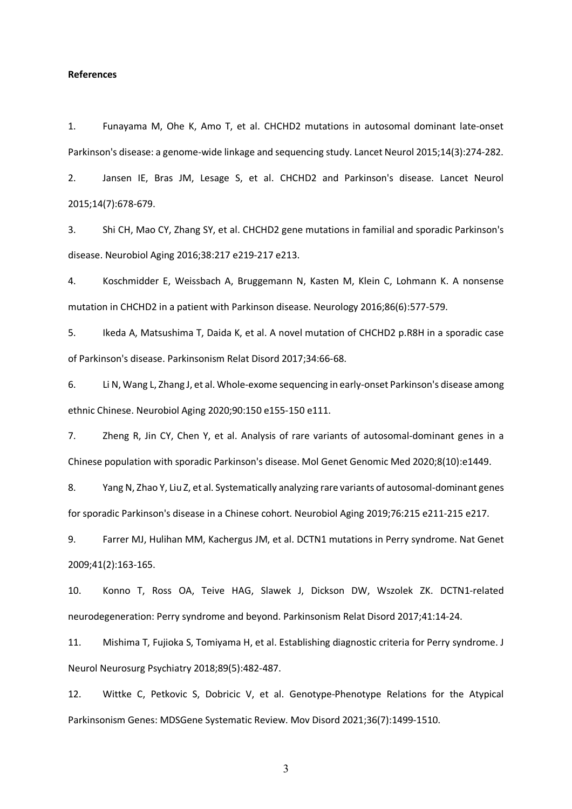## **References**

1. Funayama M, Ohe K, Amo T, et al. CHCHD2 mutations in autosomal dominant late-onset Parkinson's disease: a genome-wide linkage and sequencing study. Lancet Neurol 2015;14(3):274-282.

2. Jansen IE, Bras JM, Lesage S, et al. CHCHD2 and Parkinson's disease. Lancet Neurol 2015;14(7):678-679.

3. Shi CH, Mao CY, Zhang SY, et al. CHCHD2 gene mutations in familial and sporadic Parkinson's disease. Neurobiol Aging 2016;38:217 e219-217 e213.

4. Koschmidder E, Weissbach A, Bruggemann N, Kasten M, Klein C, Lohmann K. A nonsense mutation in CHCHD2 in a patient with Parkinson disease. Neurology 2016;86(6):577-579.

5. Ikeda A, Matsushima T, Daida K, et al. A novel mutation of CHCHD2 p.R8H in a sporadic case of Parkinson's disease. Parkinsonism Relat Disord 2017;34:66-68.

6. Li N, Wang L, Zhang J, et al. Whole-exome sequencing in early-onset Parkinson's disease among ethnic Chinese. Neurobiol Aging 2020;90:150 e155-150 e111.

7. Zheng R, Jin CY, Chen Y, et al. Analysis of rare variants of autosomal-dominant genes in a Chinese population with sporadic Parkinson's disease. Mol Genet Genomic Med 2020;8(10):e1449.

8. Yang N, Zhao Y, Liu Z, et al. Systematically analyzing rare variants of autosomal-dominant genes for sporadic Parkinson's disease in a Chinese cohort. Neurobiol Aging 2019;76:215 e211-215 e217.

9. Farrer MJ, Hulihan MM, Kachergus JM, et al. DCTN1 mutations in Perry syndrome. Nat Genet 2009;41(2):163-165.

10. Konno T, Ross OA, Teive HAG, Slawek J, Dickson DW, Wszolek ZK. DCTN1-related neurodegeneration: Perry syndrome and beyond. Parkinsonism Relat Disord 2017;41:14-24.

11. Mishima T, Fujioka S, Tomiyama H, et al. Establishing diagnostic criteria for Perry syndrome. J Neurol Neurosurg Psychiatry 2018;89(5):482-487.

12. Wittke C, Petkovic S, Dobricic V, et al. Genotype-Phenotype Relations for the Atypical Parkinsonism Genes: MDSGene Systematic Review. Mov Disord 2021;36(7):1499-1510.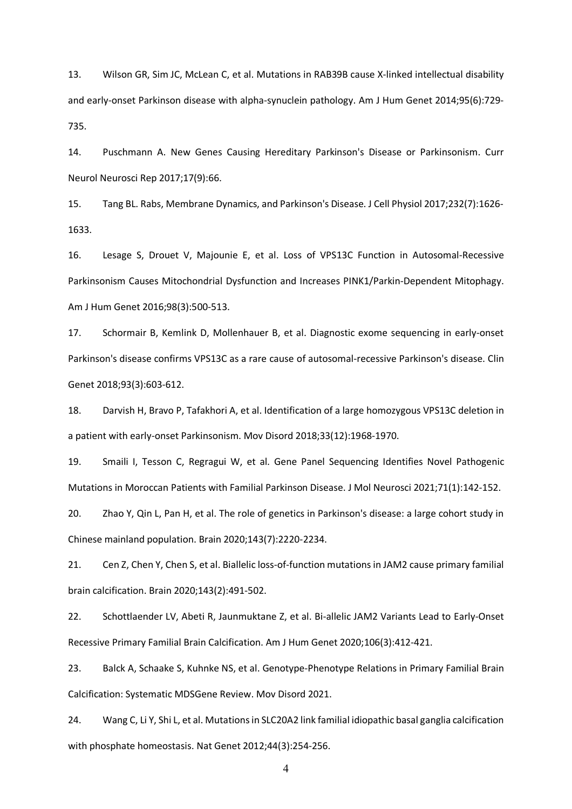13. Wilson GR, Sim JC, McLean C, et al. Mutations in RAB39B cause X-linked intellectual disability and early-onset Parkinson disease with alpha-synuclein pathology. Am J Hum Genet 2014;95(6):729- 735.

14. Puschmann A. New Genes Causing Hereditary Parkinson's Disease or Parkinsonism. Curr Neurol Neurosci Rep 2017;17(9):66.

15. Tang BL. Rabs, Membrane Dynamics, and Parkinson's Disease. J Cell Physiol 2017;232(7):1626- 1633.

16. Lesage S, Drouet V, Majounie E, et al. Loss of VPS13C Function in Autosomal-Recessive Parkinsonism Causes Mitochondrial Dysfunction and Increases PINK1/Parkin-Dependent Mitophagy. Am J Hum Genet 2016;98(3):500-513.

17. Schormair B, Kemlink D, Mollenhauer B, et al. Diagnostic exome sequencing in early-onset Parkinson's disease confirms VPS13C as a rare cause of autosomal-recessive Parkinson's disease. Clin Genet 2018;93(3):603-612.

18. Darvish H, Bravo P, Tafakhori A, et al. Identification of a large homozygous VPS13C deletion in a patient with early-onset Parkinsonism. Mov Disord 2018;33(12):1968-1970.

19. Smaili I, Tesson C, Regragui W, et al. Gene Panel Sequencing Identifies Novel Pathogenic Mutations in Moroccan Patients with Familial Parkinson Disease. J Mol Neurosci 2021;71(1):142-152.

20. Zhao Y, Qin L, Pan H, et al. The role of genetics in Parkinson's disease: a large cohort study in Chinese mainland population. Brain 2020;143(7):2220-2234.

21. Cen Z, Chen Y, Chen S, et al. Biallelic loss-of-function mutations in JAM2 cause primary familial brain calcification. Brain 2020;143(2):491-502.

22. Schottlaender LV, Abeti R, Jaunmuktane Z, et al. Bi-allelic JAM2 Variants Lead to Early-Onset Recessive Primary Familial Brain Calcification. Am J Hum Genet 2020;106(3):412-421.

23. Balck A, Schaake S, Kuhnke NS, et al. Genotype-Phenotype Relations in Primary Familial Brain Calcification: Systematic MDSGene Review. Mov Disord 2021.

24. Wang C, Li Y, Shi L, et al. Mutations in SLC20A2 link familial idiopathic basal ganglia calcification with phosphate homeostasis. Nat Genet 2012;44(3):254-256.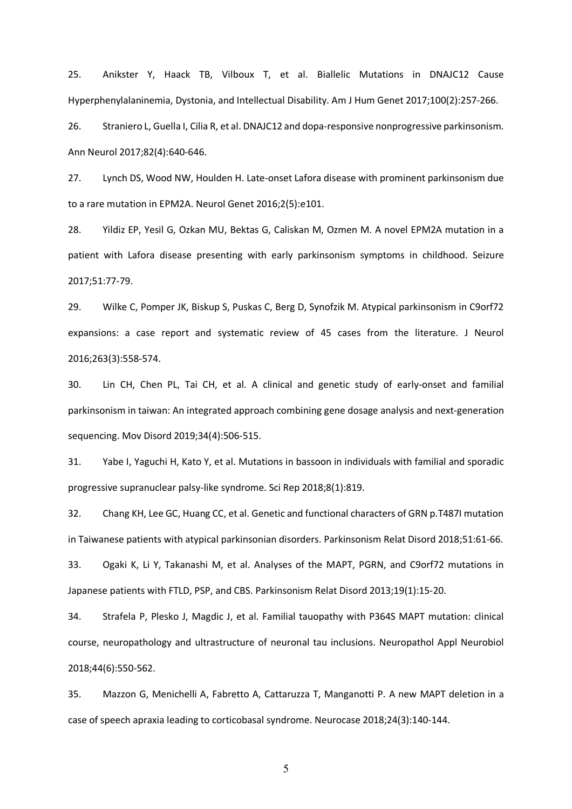25. Anikster Y, Haack TB, Vilboux T, et al. Biallelic Mutations in DNAJC12 Cause Hyperphenylalaninemia, Dystonia, and Intellectual Disability. Am J Hum Genet 2017;100(2):257-266.

26. Straniero L, Guella I, Cilia R, et al. DNAJC12 and dopa-responsive nonprogressive parkinsonism. Ann Neurol 2017;82(4):640-646.

27. Lynch DS, Wood NW, Houlden H. Late-onset Lafora disease with prominent parkinsonism due to a rare mutation in EPM2A. Neurol Genet 2016;2(5):e101.

28. Yildiz EP, Yesil G, Ozkan MU, Bektas G, Caliskan M, Ozmen M. A novel EPM2A mutation in a patient with Lafora disease presenting with early parkinsonism symptoms in childhood. Seizure 2017;51:77-79.

29. Wilke C, Pomper JK, Biskup S, Puskas C, Berg D, Synofzik M. Atypical parkinsonism in C9orf72 expansions: a case report and systematic review of 45 cases from the literature. J Neurol 2016;263(3):558-574.

30. Lin CH, Chen PL, Tai CH, et al. A clinical and genetic study of early-onset and familial parkinsonism in taiwan: An integrated approach combining gene dosage analysis and next-generation sequencing. Mov Disord 2019;34(4):506-515.

31. Yabe I, Yaguchi H, Kato Y, et al. Mutations in bassoon in individuals with familial and sporadic progressive supranuclear palsy-like syndrome. Sci Rep 2018;8(1):819.

32. Chang KH, Lee GC, Huang CC, et al. Genetic and functional characters of GRN p.T487I mutation in Taiwanese patients with atypical parkinsonian disorders. Parkinsonism Relat Disord 2018;51:61-66.

33. Ogaki K, Li Y, Takanashi M, et al. Analyses of the MAPT, PGRN, and C9orf72 mutations in Japanese patients with FTLD, PSP, and CBS. Parkinsonism Relat Disord 2013;19(1):15-20.

34. Strafela P, Plesko J, Magdic J, et al. Familial tauopathy with P364S MAPT mutation: clinical course, neuropathology and ultrastructure of neuronal tau inclusions. Neuropathol Appl Neurobiol 2018;44(6):550-562.

35. Mazzon G, Menichelli A, Fabretto A, Cattaruzza T, Manganotti P. A new MAPT deletion in a case of speech apraxia leading to corticobasal syndrome. Neurocase 2018;24(3):140-144.